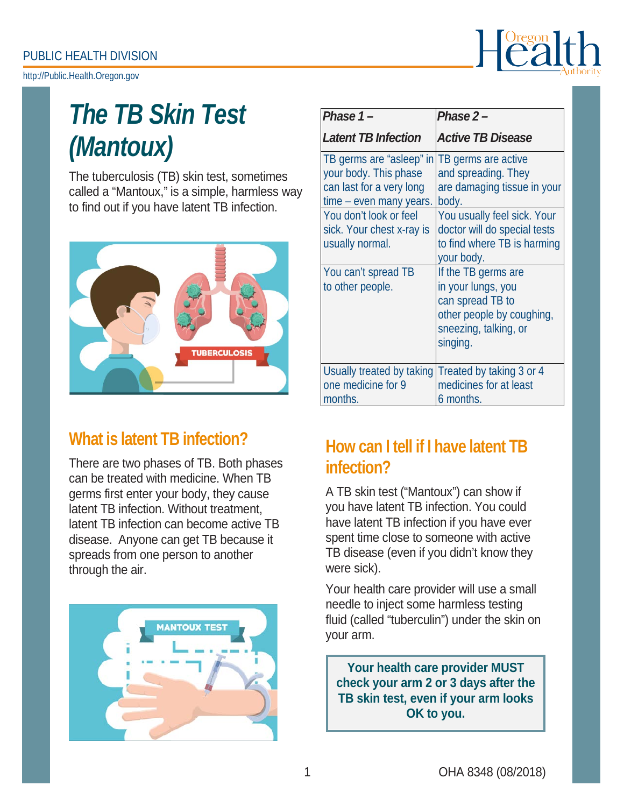[http://Public.Health.Oregon.gov](http://public.health.oregon.gov/)



# *The TB Skin Test (Mantoux)*

The tuberculosis (TB) skin test, sometimes called a "Mantoux," is a simple, harmless way to find out if you have latent TB infection.



# **What is latent TB infection?**

There are two phases of TB. Both phases can be treated with medicine. When TB germs first enter your body, they cause latent TB infection. Without treatment, latent TB infection can become active TB disease. Anyone can get TB because it spreads from one person to another through the air.



| Phase $1 -$                                                                                                                        | Phase $2-$                                                                                                                      |
|------------------------------------------------------------------------------------------------------------------------------------|---------------------------------------------------------------------------------------------------------------------------------|
| <b>Latent TB Infection</b>                                                                                                         | <b>Active TB Disease</b>                                                                                                        |
| TB germs are "asleep" in<br>your body. This phase<br>can last for a very long<br>time – even many years.<br>You don't look or feel | TB germs are active<br>and spreading. They<br>are damaging tissue in your<br>body.<br>You usually feel sick. Your               |
| sick. Your chest x-ray is<br>usually normal.                                                                                       | doctor will do special tests<br>to find where TB is harming<br>your body.                                                       |
| You can't spread TB<br>to other people.                                                                                            | If the TB germs are<br>in your lungs, you<br>can spread TB to<br>other people by coughing,<br>sneezing, talking, or<br>singing. |
| Usually treated by taking<br>one medicine for 9<br>months.                                                                         | Treated by taking 3 or 4<br>medicines for at least<br>6 months.                                                                 |

# **How can I tell if I have latent TB infection?**

A TB skin test ("Mantoux") can show if you have latent TB infection. You could have latent TB infection if you have ever spent time close to someone with active TB disease (even if you didn't know they were sick).

Your health care provider will use a small needle to inject some harmless testing fluid (called "tuberculin") under the skin on your arm.

**Your health care provider MUST check your arm 2 or 3 days after the TB skin test, even if your arm looks OK to you.**